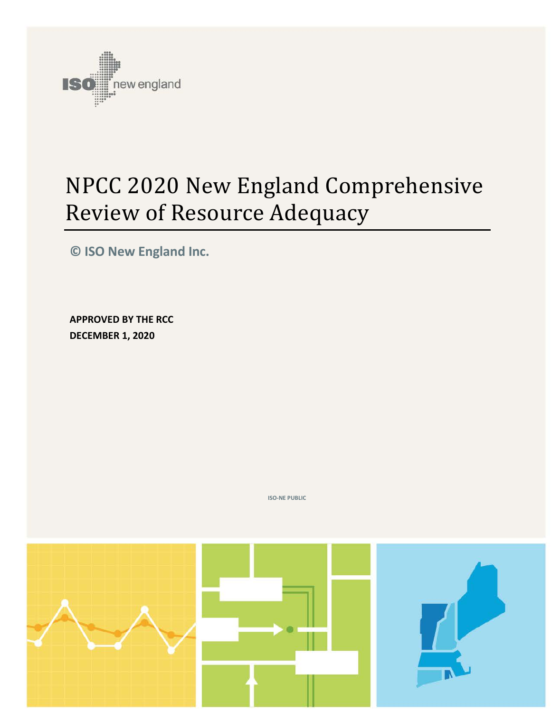

# NPCC 2020 New England Comprehensive Review of Resource Adequacy

**© ISO New England Inc.**

**APPROVED BY THE RCC DECEMBER 1, 2020**

**ISO-NE PUBLIC**

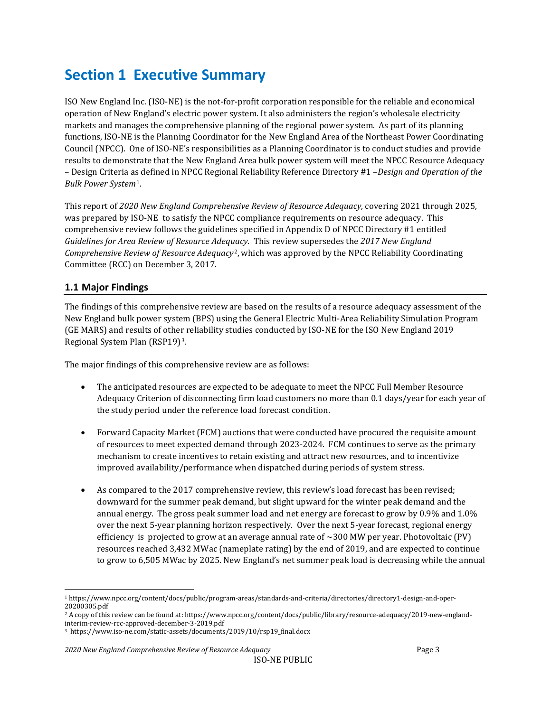## <span id="page-2-3"></span>**Section 1 Executive Summary**

ISO New England Inc. (ISO-NE) is the not-for-profit corporation responsible for the reliable and economical operation of New England's electric power system. It also administers the region's wholesale electricity markets and manages the comprehensive planning of the regional power system. As part of its planning functions, ISO-NE is the Planning Coordinator for the New England Area of the Northeast Power Coordinating Council (NPCC). One of ISO-NE's responsibilities as a Planning Coordinator is to conduct studies and provide results to demonstrate that the New England Area bulk power system will meet the NPCC Resource Adequacy – Design Criteria as defined in NPCC Regional Reliability Reference Directory #1 –*Design and Operation of the Bulk Power System*[1](#page-2-0).

This report of *2020 New England Comprehensive Review of Resource Adequacy*, covering 2021 through 2025, was prepared by ISO-NE to satisfy the NPCC compliance requirements on resource adequacy. This comprehensive review follows the guidelines specified in Appendix D of NPCC Directory #1 entitled *Guidelines for Area Review of Resource Adeq[ua](#page-2-1)cy*. This review supersedes the *2017 New England Comprehensive Review of Resource Adequacy*2, which was approved by the NPCC Reliability Coordinating Committee (RCC) on December 3, 2017.

## <span id="page-2-4"></span>**1.1 Major Findings**

The findings of this comprehensive review are based on the results of a resource adequacy assessment of the New England bulk power system (BPS) using the General Electric Multi-Area Reliability Simulation Program (GE MARS) and results of other reliability studies conducted by ISO-NE for the ISO New England 2019 Regional System Plan (RSP19)[3](#page-2-2).

The major findings of this comprehensive review are as follows:

- The anticipated resources are expected to be adequate to meet the NPCC Full Member Resource Adequacy Criterion of disconnecting firm load customers no more than 0.1 days/year for each year of the study period under the reference load forecast condition.
- Forward Capacity Market (FCM) auctions that were conducted have procured the requisite amount of resources to meet expected demand through 2023-2024. FCM continues to serve as the primary mechanism to create incentives to retain existing and attract new resources, and to incentivize improved availability/performance when dispatched during periods of system stress.
- As compared to the 2017 comprehensive review, this review's load forecast has been revised; downward for the summer peak demand, but slight upward for the winter peak demand and the annual energy. The gross peak summer load and net energy are forecast to grow by 0.9% and 1.0% over the next 5-year planning horizon respectively. Over the next 5-year forecast, regional energy efficiency is projected to grow at an average annual rate of  $\sim$ 300 MW per year. Photovoltaic (PV) resources reached 3,432 MWac (nameplate rating) by the end of 2019, and are expected to continue to grow to 6,505 MWac by 2025. New England's net summer peak load is decreasing while the annual

<span id="page-2-0"></span><sup>1</sup> https://www.npcc.org/content/docs/public/program-areas/standards-and-criteria/directories/directory1-design-and-oper-20200305.pdf

<span id="page-2-1"></span><sup>2</sup> A copy of this review can be found at: https://www.npcc.org/content/docs/public/library/resource-adequacy/2019-new-englandinterim-review-rcc-approved-december-3-2019.pdf

<span id="page-2-2"></span><sup>3</sup> https://www.iso-ne.com/static-assets/documents/2019/10/rsp19\_final.docx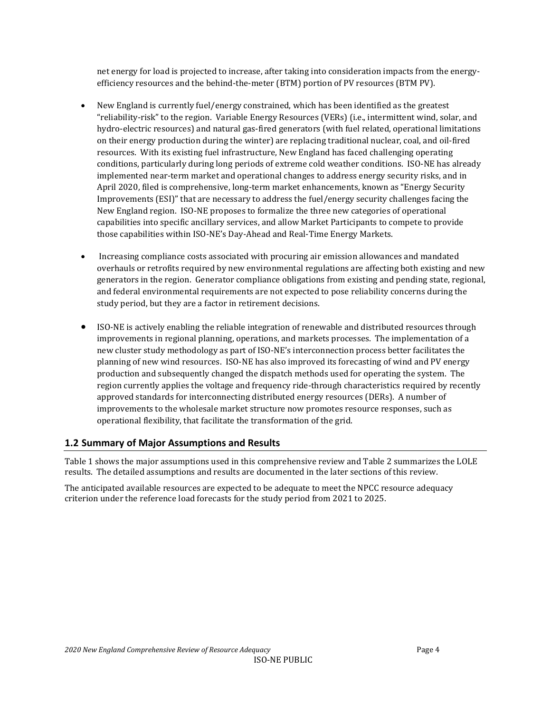net energy for load is projected to increase, after taking into consideration impacts from the energyefficiency resources and the behind-the-meter (BTM) portion of PV resources (BTM PV).

- New England is currently fuel/energy constrained, which has been identified as the greatest "reliability-risk" to the region. Variable Energy Resources (VERs) (i.e., intermittent wind, solar, and hydro-electric resources) and natural gas-fired generators (with fuel related, operational limitations on their energy production during the winter) are replacing traditional nuclear, coal, and oil-fired resources. With its existing fuel infrastructure, New England has faced challenging operating conditions, particularly during long periods of extreme cold weather conditions. ISO-NE has already implemented near-term market and operational changes to address energy security risks, and in April 2020, filed is comprehensive, long-term market enhancements, known as "Energy Security Improvements (ESI)" that are necessary to address the fuel/energy security challenges facing the New England region. ISO-NE proposes to formalize the three new categories of operational capabilities into specific ancillary services, and allow Market Participants to compete to provide those capabilities within ISO-NE's Day-Ahead and Real-Time Energy Markets.
- Increasing compliance costs associated with procuring air emission allowances and mandated overhauls or retrofits required by new environmental regulations are affecting both existing and new generators in the region. Generator compliance obligations from existing and pending state, regional, and federal environmental requirements are not expected to pose reliability concerns during the study period, but they are a factor in retirement decisions.
- ISO-NE is actively enabling the reliable integration of renewable and distributed resources through improvements in regional planning, operations, and markets processes. The implementation of a new cluster study methodology as part of ISO-NE's interconnection process better facilitates the planning of new wind resources. ISO-NE has also improved its forecasting of wind and PV energy production and subsequently changed the dispatch methods used for operating the system. The region currently applies the voltage and frequency ride-through characteristics required by recently approved standards for interconnecting distributed energy resources (DERs). A number of improvements to the wholesale market structure now promotes resource responses, such as operational flexibility, that facilitate the transformation of the grid.

## <span id="page-3-0"></span>**1.2 Summary of Major Assumptions and Results**

[Table 1](#page-4-0) shows the major assumptions used in this comprehensive review and [Table 2](#page-4-1) summarizes the LOLE results. The detailed assumptions and results are documented in the later sections of this review.

The anticipated available resources are expected to be adequate to meet the NPCC resource adequacy criterion under the reference load forecasts for the study period from 2021 to 2025.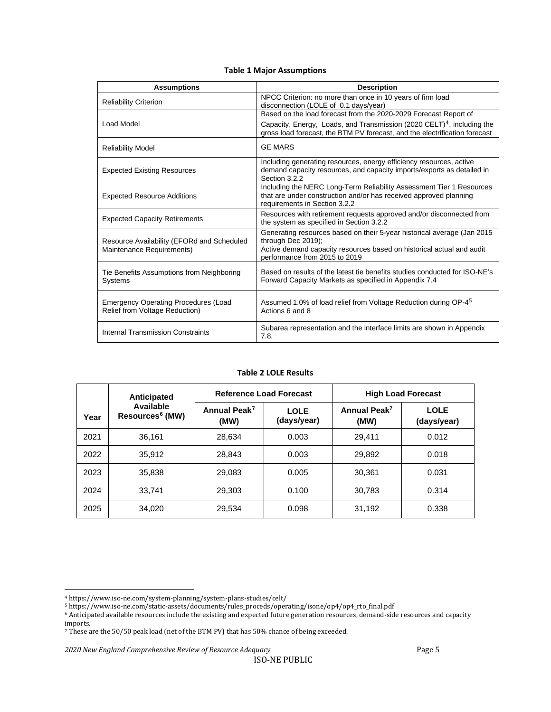|  |  |  | <b>Table 1 Major Assumptions</b> |
|--|--|--|----------------------------------|
|--|--|--|----------------------------------|

<span id="page-4-0"></span>

| <b>Assumptions</b>                                                            | <b>Description</b>                                                                                                                                                                                                                   |
|-------------------------------------------------------------------------------|--------------------------------------------------------------------------------------------------------------------------------------------------------------------------------------------------------------------------------------|
| <b>Reliability Criterion</b>                                                  | NPCC Criterion: no more than once in 10 years of firm load<br>disconnection (LOLE of 0.1 days/year)                                                                                                                                  |
| Load Model                                                                    | Based on the load forecast from the 2020-2029 Forecast Report of<br>Capacity, Energy, Loads, and Transmission (2020 CELT) <sup>4</sup> , including the<br>gross load forecast, the BTM PV forecast, and the electrification forecast |
| <b>Reliability Model</b>                                                      | <b>GE MARS</b>                                                                                                                                                                                                                       |
| <b>Expected Existing Resources</b>                                            | Including generating resources, energy efficiency resources, active<br>demand capacity resources, and capacity imports/exports as detailed in<br>Section 3.2.2                                                                       |
| <b>Expected Resource Additions</b>                                            | Including the NERC Long-Term Reliability Assessment Tier 1 Resources<br>that are under construction and/or has received approved planning<br>requirements in Section 3.2.2                                                           |
| <b>Expected Capacity Retirements</b>                                          | Resources with retirement requests approved and/or disconnected from<br>the system as specified in Section 3.2.2                                                                                                                     |
| Resource Availability (EFORd and Scheduled<br>Maintenance Requirements)       | Generating resources based on their 5-year historical average (Jan 2015<br>through Dec 2019);<br>Active demand capacity resources based on historical actual and audit<br>performance from 2015 to 2019                              |
| Tie Benefits Assumptions from Neighboring<br>Systems                          | Based on results of the latest tie benefits studies conducted for ISO-NE's<br>Forward Capacity Markets as specified in Appendix 7.4                                                                                                  |
| <b>Emergency Operating Procedures (Load</b><br>Relief from Voltage Reduction) | Assumed 1.0% of load relief from Voltage Reduction during OP-4 <sup>5</sup><br>Actions 6 and 8                                                                                                                                       |
| Internal Transmission Constraints                                             | Subarea representation and the interface limits are shown in Appendix<br>7.8.                                                                                                                                                        |

#### **Table 2 LOLE Results**

<span id="page-4-1"></span>

|      | Anticipated                              | <b>Reference Load Forecast</b>   |                            | <b>High Load Forecast</b>        |                            |  |
|------|------------------------------------------|----------------------------------|----------------------------|----------------------------------|----------------------------|--|
| Year | Available<br>Resources <sup>6</sup> (MW) | Annual Peak <sup>7</sup><br>(MW) | <b>LOLE</b><br>(days/year) | Annual Peak <sup>7</sup><br>(MW) | <b>LOLE</b><br>(days/year) |  |
| 2021 | 36.161                                   | 28.634                           | 0.003                      | 29.411                           | 0.012                      |  |
| 2022 | 35.912                                   | 28.843                           | 0.003                      | 29.892                           | 0.018                      |  |
| 2023 | 35.838                                   | 29.083                           | 0.005                      | 30.361                           | 0.031                      |  |
| 2024 | 33.741                                   | 29.303                           | 0.100                      | 30,783                           | 0.314                      |  |
| 2025 | 34.020                                   | 29.534                           | 0.098                      | 31.192                           | 0.338                      |  |

<span id="page-4-2"></span><sup>4</sup> https://www.iso-ne.com/system-planning/system-plans-studies/celt/

<sup>5</sup> https://www.iso-ne.com/static-assets/documents/rules\_proceds/operating/isone/op4/op4\_rto\_final.pdf

<span id="page-4-4"></span><span id="page-4-3"></span><sup>6</sup> Anticipated available resources include the existing and expected future generation resources, demand-side resources and capacity imports.

<span id="page-4-5"></span><sup>7</sup> These are the 50/50 peak load (net of the BTM PV) that has 50% chance of being exceeded.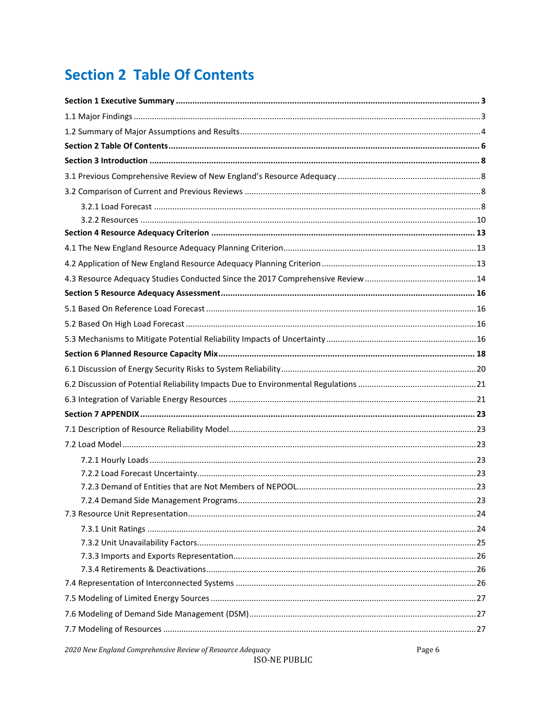## <span id="page-5-0"></span>**Section 2 Table Of Contents**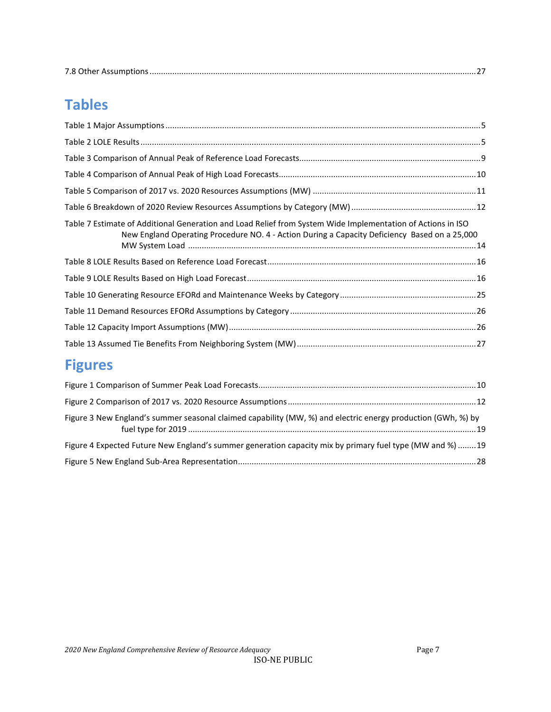|--|

## **Tables**

| Table 7 Estimate of Additional Generation and Load Relief from System Wide Implementation of Actions in ISO<br>New England Operating Procedure NO. 4 - Action During a Capacity Deficiency Based on a 25,000 |  |
|--------------------------------------------------------------------------------------------------------------------------------------------------------------------------------------------------------------|--|
|                                                                                                                                                                                                              |  |
|                                                                                                                                                                                                              |  |
|                                                                                                                                                                                                              |  |
|                                                                                                                                                                                                              |  |
|                                                                                                                                                                                                              |  |
|                                                                                                                                                                                                              |  |

## **Figures**

| Figure 3 New England's summer seasonal claimed capability (MW, %) and electric energy production (GWh, %) by |  |
|--------------------------------------------------------------------------------------------------------------|--|
| Figure 4 Expected Future New England's summer generation capacity mix by primary fuel type (MW and %) 19     |  |
|                                                                                                              |  |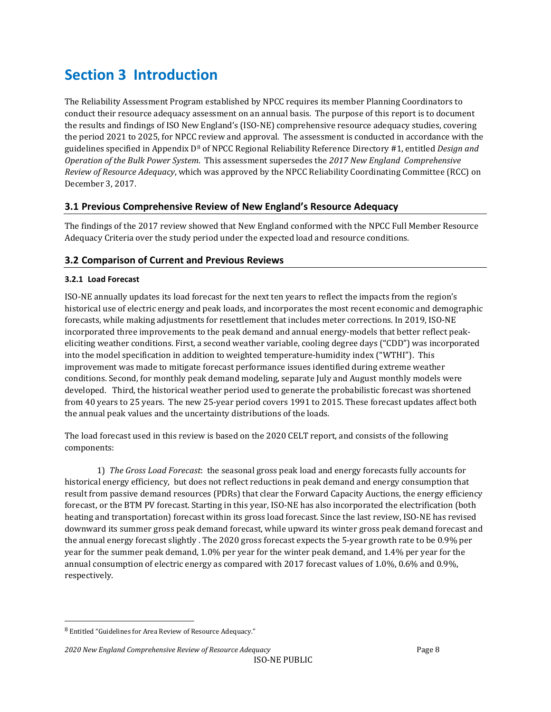## <span id="page-7-0"></span>**Section 3 Introduction**

The Reliability Assessment Program established by NPCC requires its member Planning Coordinators to conduct their resource adequacy assessment on an annual basis. The purpose of this report is to document the results and findings of ISO New England's (ISO-NE) comprehensive resource adequacy studies, covering the period 2021 to 2025, for NPCC review and approval. The assessment is conducted in accordance with the guidelines specified in Appendix D[8](#page-7-4) of NPCC Regional Reliability Reference Directory #1, entitled *Design and Operation of the Bulk Power System*. This assessment supersedes the *2017 New England Comprehensive Review of Resource Adequacy*, which was approved by the NPCC Reliability Coordinating Committee (RCC) on December 3, 2017.

## <span id="page-7-1"></span>**3.1 Previous Comprehensive Review of New England's Resource Adequacy**

The findings of the 2017 review showed that New England conformed with the NPCC Full Member Resource Adequacy Criteria over the study period under the expected load and resource conditions.

## <span id="page-7-2"></span>**3.2 Comparison of Current and Previous Reviews**

### <span id="page-7-3"></span>**3.2.1 Load Forecast**

ISO-NE annually updates its load forecast for the next ten years to reflect the impacts from the region's historical use of electric energy and peak loads, and incorporates the most recent economic and demographic forecasts, while making adjustments for resettlement that includes meter corrections. In 2019, ISO-NE incorporated three improvements to the peak demand and annual energy-models that better reflect peakeliciting weather conditions. First, a second weather variable, cooling degree days ("CDD") was incorporated into the model specification in addition to weighted temperature-humidity index ("WTHI"). This improvement was made to mitigate forecast performance issues identified during extreme weather conditions. Second, for monthly peak demand modeling, separate July and August monthly models were developed. Third, the historical weather period used to generate the probabilistic forecast was shortened from 40 years to 25 years. The new 25-year period covers 1991 to 2015. These forecast updates affect both the annual peak values and the uncertainty distributions of the loads.

The load forecast used in this review is based on the 2020 CELT report, and consists of the following components:

1) *The Gross Load Forecast*: the seasonal gross peak load and energy forecasts fully accounts for historical energy efficiency, but does not reflect reductions in peak demand and energy consumption that result from passive demand resources (PDRs) that clear the Forward Capacity Auctions, the energy efficiency forecast, or the BTM PV forecast. Starting in this year, ISO-NE has also incorporated the electrification (both heating and transportation) forecast within its gross load forecast. Since the last review, ISO-NE has revised downward its summer gross peak demand forecast, while upward its winter gross peak demand forecast and the annual energy forecast slightly . The 2020 gross forecast expects the 5-year growth rate to be 0.9% per year for the summer peak demand, 1.0% per year for the winter peak demand, and 1.4% per year for the annual consumption of electric energy as compared with 2017 forecast values of 1.0%, 0.6% and 0.9%, respectively.

<span id="page-7-4"></span><sup>8</sup> Entitled "Guidelines for Area Review of Resource Adequacy."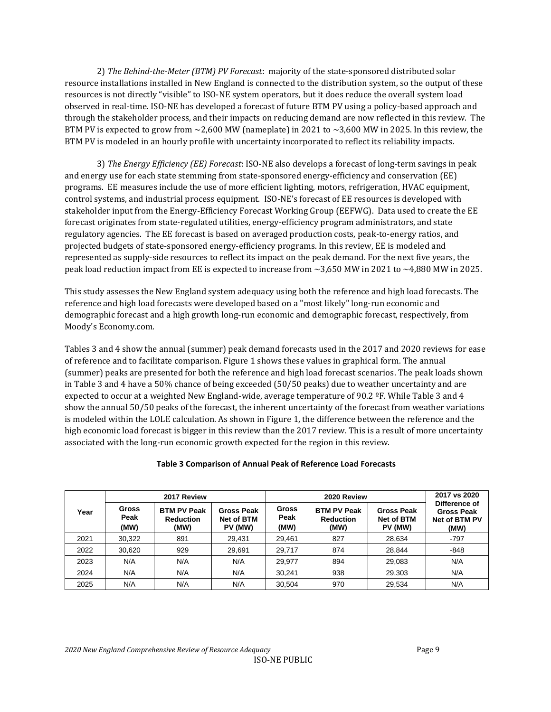2) *The Behind-the-Meter (BTM) PV Forecast*: majority of the state-sponsored distributed solar resource installations installed in New England is connected to the distribution system, so the output of these resources is not directly "visible" to ISO-NE system operators, but it does reduce the overall system load observed in real-time. ISO-NE has developed a forecast of future BTM PV using a policy-based approach and through the stakeholder process, and their impacts on reducing demand are now reflected in this review. The BTM PV is expected to grow from  $\sim$  2,600 MW (nameplate) in 2021 to  $\sim$  3,600 MW in 2025. In this review, the BTM PV is modeled in an hourly profile with uncertainty incorporated to reflect its reliability impacts.

3) *The Energy Efficiency (EE) Forecast*: ISO-NE also develops a forecast of long-term savings in peak and energy use for each state stemming from state-sponsored energy-efficiency and conservation (EE) programs. EE measures include the use of more efficient lighting, motors, refrigeration, HVAC equipment, control systems, and industrial process equipment. ISO-NE's forecast of EE resources is developed with stakeholder input from the Energy-Efficiency Forecast Working Group (EEFWG). Data used to create the EE forecast originates from state-regulated utilities, energy-efficiency program administrators, and state regulatory agencies. The EE forecast is based on averaged production costs, peak-to-energy ratios, and projected budgets of state-sponsored energy-efficiency programs. In this review, EE is modeled and represented as supply-side resources to reflect its impact on the peak demand. For the next five years, the peak load reduction impact from EE is expected to increase from  $\sim$ 3,650 MW in 2021 to  $\sim$ 4,880 MW in 2025.

This study assesses the New England system adequacy using both the reference and high load forecasts. The reference and high load forecasts were developed based on a "most likely" long-run economic and demographic forecast and a high growth long-run economic and demographic forecast, respectively, from Moody's Economy.com.

Tables 3 and 4 show the annual (summer) peak demand forecasts used in the 2017 and 2020 reviews for ease of reference and to facilitate comparison. Figure 1 shows these values in graphical form. The annual (summer) peaks are presented for both the reference and high load forecast scenarios. The peak loads shown in Table 3 and 4 have a 50% chance of being exceeded (50/50 peaks) due to weather uncertainty and are expected to occur at a weighted New England-wide, average temperature of 90.2 ºF. While Table 3 and 4 show the annual 50/50 peaks of the forecast, the inherent uncertainty of the forecast from weather variations is modeled within the LOLE calculation. As shown in Figure 1, the difference between the reference and the high economic load forecast is bigger in this review than the 2017 review. This is a result of more uncertainty associated with the long-run economic growth expected for the region in this review.

|      |                              | 2017 Review                                    |                                            |                              | 2017 vs 2020                                   |                                            |                                                             |
|------|------------------------------|------------------------------------------------|--------------------------------------------|------------------------------|------------------------------------------------|--------------------------------------------|-------------------------------------------------------------|
| Year | <b>Gross</b><br>Peak<br>(MW) | <b>BTM PV Peak</b><br><b>Reduction</b><br>(MW) | <b>Gross Peak</b><br>Net of BTM<br>PV (MW) | <b>Gross</b><br>Peak<br>(MW) | <b>BTM PV Peak</b><br><b>Reduction</b><br>(MW) | Gross Peak<br><b>Net of BTM</b><br>PV (MW) | Difference of<br><b>Gross Peak</b><br>Net of BTM PV<br>(MW) |
| 2021 | 30.322                       | 891                                            | 29.431                                     | 29.461                       | 827                                            | 28.634                                     | -797                                                        |
| 2022 | 30.620                       | 929                                            | 29.691                                     | 29.717                       | 874                                            | 28.844                                     | $-848$                                                      |
| 2023 | N/A                          | N/A                                            | N/A                                        | 29.977                       | 894                                            | 29,083                                     | N/A                                                         |
| 2024 | N/A                          | N/A                                            | N/A                                        | 30.241                       | 938                                            | 29,303                                     | N/A                                                         |
| 2025 | N/A                          | N/A                                            | N/A                                        | 30.504                       | 970                                            | 29,534                                     | N/A                                                         |

#### <span id="page-8-0"></span>**Table 3 Comparison of Annual Peak of Reference Load Forecasts**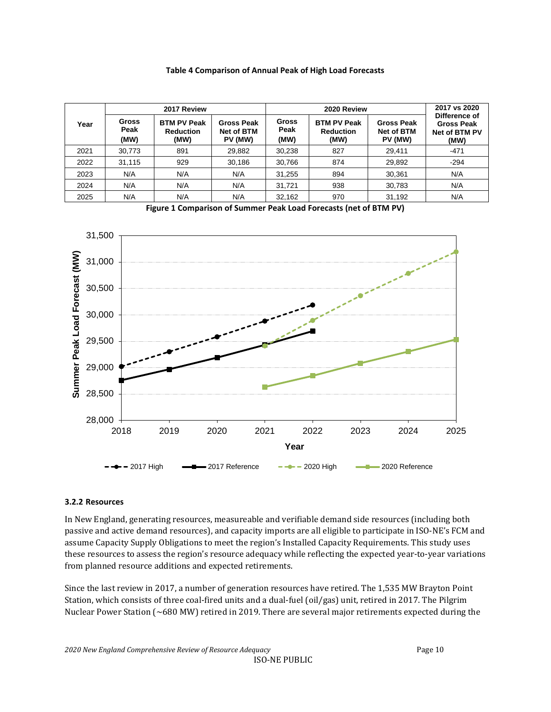#### **Table 4 Comparison of Annual Peak of High Load Forecasts**

<span id="page-9-1"></span>

|      |                       | 2017 Review                                    |                                                   |                              | 2017 vs 2020                                   |                                                   |                                                             |
|------|-----------------------|------------------------------------------------|---------------------------------------------------|------------------------------|------------------------------------------------|---------------------------------------------------|-------------------------------------------------------------|
| Year | Gross<br>Peak<br>(MW) | <b>BTM PV Peak</b><br><b>Reduction</b><br>(MW) | <b>Gross Peak</b><br><b>Net of BTM</b><br>PV (MW) | <b>Gross</b><br>Peak<br>(MW) | <b>BTM PV Peak</b><br><b>Reduction</b><br>(MW) | <b>Gross Peak</b><br><b>Net of BTM</b><br>PV (MW) | Difference of<br><b>Gross Peak</b><br>Net of BTM PV<br>(MW) |
| 2021 | 30,773                | 891                                            | 29,882                                            | 30,238                       | 827                                            | 29.411                                            | $-471$                                                      |
| 2022 | 31.115                | 929                                            | 30,186                                            | 30,766                       | 874                                            | 29,892                                            | $-294$                                                      |
| 2023 | N/A                   | N/A                                            | N/A                                               | 31,255                       | 894                                            | 30.361                                            | N/A                                                         |
| 2024 | N/A                   | N/A                                            | N/A                                               | 31.721                       | 938                                            | 30,783                                            | N/A                                                         |
| 2025 | N/A                   | N/A                                            | N/A                                               | 32,162                       | 970                                            | 31,192                                            | N/A                                                         |



<span id="page-9-2"></span>

#### <span id="page-9-0"></span>**3.2.2 Resources**

In New England, generating resources, measureable and verifiable demand side resources (including both passive and active demand resources), and capacity imports are all eligible to participate in ISO-NE's FCM and assume Capacity Supply Obligations to meet the region's Installed Capacity Requirements. This study uses these resources to assess the region's resource adequacy while reflecting the expected year-to-year variations from planned resource additions and expected retirements.

Since the last review in 2017, a number of generation resources have retired. The 1,535 MW Brayton Point Station, which consists of three coal-fired units and a dual-fuel (oil/gas) unit, retired in 2017. The Pilgrim Nuclear Power Station (~680 MW) retired in 2019. There are several major retirements expected during the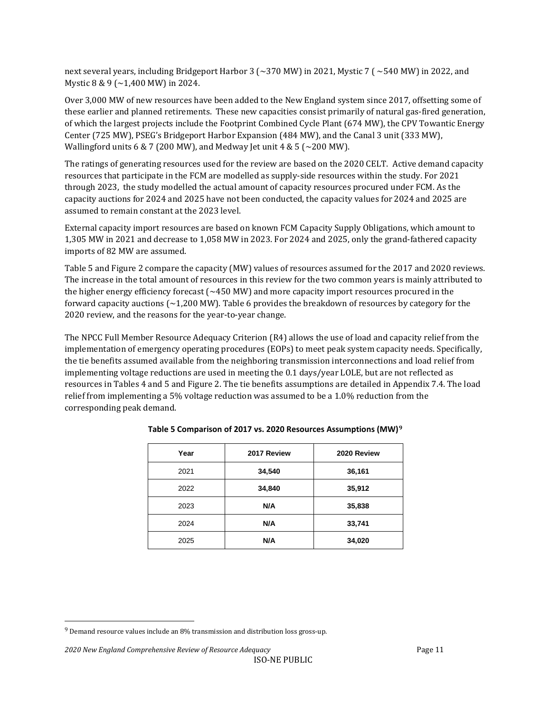next several years, including Bridgeport Harbor 3 (~370 MW) in 2021, Mystic 7 ( ~540 MW) in 2022, and Mystic 8 & 9 (~1,400 MW) in 2024.

Over 3,000 MW of new resources have been added to the New England system since 2017, offsetting some of these earlier and planned retirements. These new capacities consist primarily of natural gas-fired generation, of which the largest projects include the Footprint Combined Cycle Plant (674 MW), the CPV Towantic Energy Center (725 MW), PSEG's Bridgeport Harbor Expansion (484 MW), and the Canal 3 unit (333 MW), Wallingford units 6 & 7 (200 MW), and Medway Jet unit 4 & 5 ( $\sim$ 200 MW).

The ratings of generating resources used for the review are based on the 2020 CELT. Active demand capacity resources that participate in the FCM are modelled as supply-side resources within the study. For 2021 through 2023, the study modelled the actual amount of capacity resources procured under FCM. As the capacity auctions for 2024 and 2025 have not been conducted, the capacity values for 2024 and 2025 are assumed to remain constant at the 2023 level.

External capacity import resources are based on known FCM Capacity Supply Obligations, which amount to 1,305 MW in 2021 and decrease to 1,058 MW in 2023. For 2024 and 2025, only the grand-fathered capacity imports of 82 MW are assumed.

Table 5 and Figure 2 compare the capacity (MW) values of resources assumed for the 2017 and 2020 reviews. The increase in the total amount of resources in this review for the two common years is mainly attributed to the higher energy efficiency forecast ( $\sim$ 450 MW) and more capacity import resources procured in the forward capacity auctions (~1,200 MW). Table 6 provides the breakdown of resources by category for the 2020 review, and the reasons for the year-to-year change.

The NPCC Full Member Resource Adequacy Criterion (R4) allows the use of load and capacity relief from the implementation of emergency operating procedures (EOPs) to meet peak system capacity needs. Specifically, the tie benefits assumed available from the neighboring transmission interconnections and load relief from implementing voltage reductions are used in meeting the 0.1 days/year LOLE, but are not reflected as resources in Tables 4 and 5 and Figure 2. The tie benefits assumptions are detailed in Appendix 7.4. The load relief from implementing a 5% voltage reduction was assumed to be a 1.0% reduction from the corresponding peak demand.

| Year | 2017 Review | 2020 Review |
|------|-------------|-------------|
| 2021 | 34,540      | 36,161      |
| 2022 | 34,840      | 35,912      |
| 2023 | N/A         | 35,838      |
| 2024 | N/A         | 33,741      |
| 2025 | N/A         | 34,020      |

#### <span id="page-10-0"></span>**Table 5 Comparison of 2017 vs. 2020 Resources Assumptions (MW)[9](#page-10-1)**

<span id="page-10-1"></span> $9$  Demand resource values include an 8% transmission and distribution loss gross-up.

*<sup>2020</sup> New England Comprehensive Review of Resource Adequacy* Page 11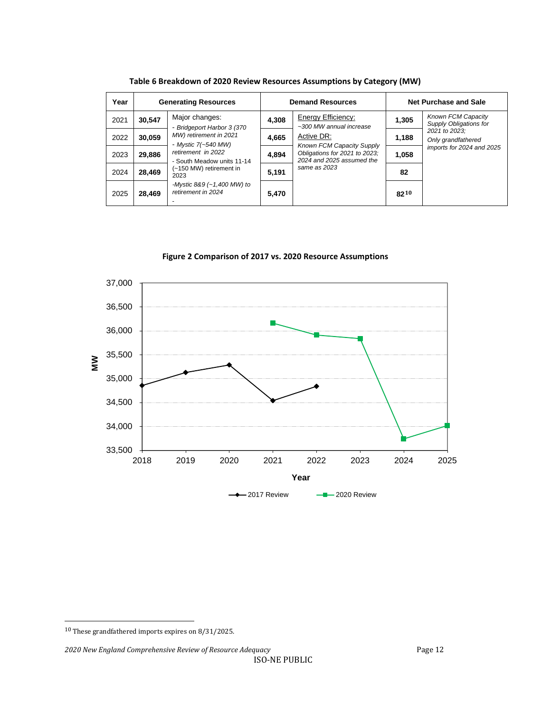<span id="page-11-0"></span>

| Year | <b>Generating Resources</b> |                                                                                                            | <b>Demand Resources</b> |                                                                                                                       | Net Purchase and Sale |                                                                  |
|------|-----------------------------|------------------------------------------------------------------------------------------------------------|-------------------------|-----------------------------------------------------------------------------------------------------------------------|-----------------------|------------------------------------------------------------------|
| 2021 | 30,547                      | Major changes:<br>- Bridgeport Harbor 3 (370                                                               | 4,308                   | Energy Efficiency:<br>~300 MW annual increase                                                                         | 1,305                 | <b>Known FCM Capacity</b><br>Supply Obligations for              |
| 2022 | 30,059                      | MW) retirement in 2021                                                                                     | 4,665                   | Active DR:<br>Known FCM Capacity Supply<br>Obligations for 2021 to 2023;<br>2024 and 2025 assumed the<br>same as 2023 | 1,188                 | 2021 to 2023:<br>Only grandfathered<br>imports for 2024 and 2025 |
| 2023 | 29,886                      | - Mystic 7(~540 MW)<br>retirement in 2022<br>- South Meadow units 11-14<br>(~150 MW) retirement in<br>2023 | 4,894                   |                                                                                                                       | 1,058                 |                                                                  |
| 2024 | 28,469                      |                                                                                                            | 5,191                   |                                                                                                                       | 82                    |                                                                  |
| 2025 | 28.469                      | -Mystic 8&9 (~1,400 MW) to<br>retirement in 2024                                                           | 5,470                   |                                                                                                                       | $82^{10}$             |                                                                  |

**Table 6 Breakdown of 2020 Review Resources Assumptions by Category (MW)**

**Figure 2 Comparison of 2017 vs. 2020 Resource Assumptions** 

<span id="page-11-1"></span>

*2020 New England Comprehensive Review of Resource Adequacy* Page 12

<span id="page-11-2"></span><sup>10</sup> These grandfathered imports expires on 8/31/2025.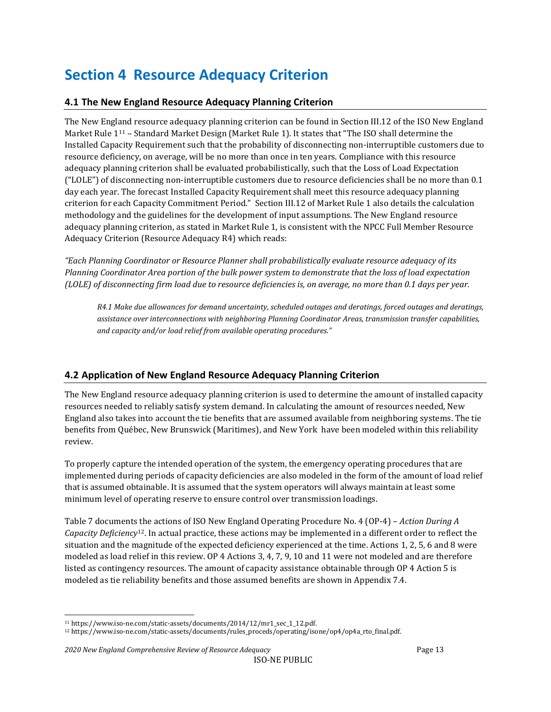## <span id="page-12-0"></span>**Section 4 Resource Adequacy Criterion**

## <span id="page-12-1"></span>**4.1 The New England Resource Adequacy Planning Criterion**

The New England resource adequacy planning criterion can be found in Section III.12 of the ISO New England Market Rule [111](#page-12-3) – Standard Market Design (Market Rule 1). It states that "The ISO shall determine the Installed Capacity Requirement such that the probability of disconnecting non-interruptible customers due to resource deficiency, on average, will be no more than once in ten years. Compliance with this resource adequacy planning criterion shall be evaluated probabilistically, such that the Loss of Load Expectation ("LOLE") of disconnecting non-interruptible customers due to resource deficiencies shall be no more than 0.1 day each year. The forecast Installed Capacity Requirement shall meet this resource adequacy planning criterion for each Capacity Commitment Period." Section III.12 of Market Rule 1 also details the calculation methodology and the guidelines for the development of input assumptions. The New England resource adequacy planning criterion, as stated in Market Rule 1, is consistent with the NPCC Full Member Resource Adequacy Criterion (Resource Adequacy R4) which reads:

*"Each Planning Coordinator or Resource Planner shall probabilistically evaluate resource adequacy of its Planning Coordinator Area portion of the bulk power system to demonstrate that the loss of load expectation (LOLE) of disconnecting firm load due to resource deficiencies is, on average, no more than 0.1 days per year.*

*R4.1 Make due allowances for demand uncertainty, scheduled outages and deratings, forced outages and deratings, assistance over interconnections with neighboring Planning Coordinator Areas, transmission transfer capabilities, and capacity and/or load relief from available operating procedures."*

## <span id="page-12-2"></span>**4.2 Application of New England Resource Adequacy Planning Criterion**

The New England resource adequacy planning criterion is used to determine the amount of installed capacity resources needed to reliably satisfy system demand. In calculating the amount of resources needed, New England also takes into account the tie benefits that are assumed available from neighboring systems. The tie benefits from Québec, New Brunswick (Maritimes), and New York have been modeled within this reliability review.

To properly capture the intended operation of the system, the emergency operating procedures that are implemented during periods of capacity deficiencies are also modeled in the form of the amount of load relief that is assumed obtainable. It is assumed that the system operators will always maintain at least some minimum level of operating reserve to ensure control over transmission loadings.

Table 7 documents the actions of ISO New England Operating Procedure No. 4 (OP-4) – *Action During A Capacity Deficiency*[12.](#page-12-4) In actual practice, these actions may be implemented in a different order to reflect the situation and the magnitude of the expected deficiency experienced at the time. Actions 1, 2, 5, 6 and 8 were modeled as load relief in this review. OP 4 Actions 3, 4, 7, 9, 10 and 11 were not modeled and are therefore listed as contingency resources. The amount of capacity assistance obtainable through OP 4 Action 5 is modeled as tie reliability benefits and those assumed benefits are shown in Appendix 7.4.

<span id="page-12-4"></span><span id="page-12-3"></span><sup>11</sup> https://www.iso-ne.com/static-assets/documents/2014/12/mr1\_sec\_1\_12.pdf.

<sup>12</sup> https://www.iso-ne.com/static-assets/documents/rules\_proceds/operating/isone/op4/op4a\_rto\_final.pdf.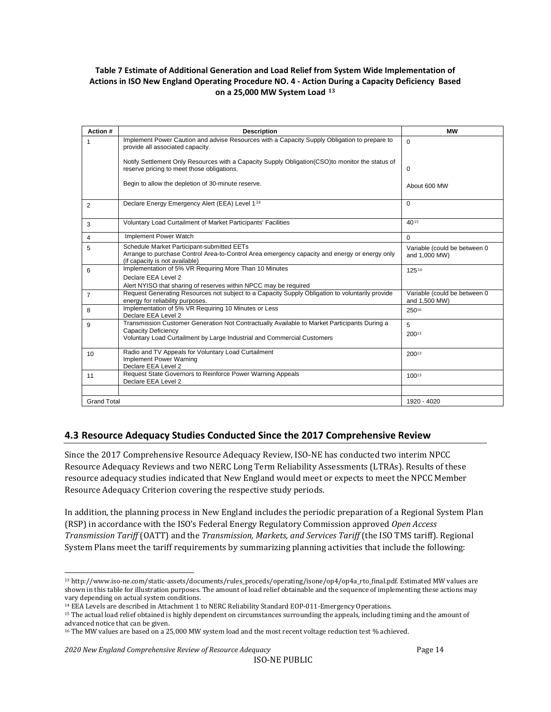#### <span id="page-13-1"></span>**Table 7 Estimate of Additional Generation and Load Relief from System Wide Implementation of Actions in ISO New England Operating Procedure NO. 4 - Action During a Capacity Deficiency Based on a 25,000 MW System Load [13](#page-13-2)**

| Action #           | <b>Description</b>                                                                                                                                                                                    | <b>MW</b>                                     |
|--------------------|-------------------------------------------------------------------------------------------------------------------------------------------------------------------------------------------------------|-----------------------------------------------|
|                    | Implement Power Caution and advise Resources with a Capacity Supply Obligation to prepare to<br>provide all associated capacity.                                                                      | $\Omega$                                      |
|                    | Notify Settlement Only Resources with a Capacity Supply Obligation (CSO) to monitor the status of<br>reserve pricing to meet those obligations.                                                       | $\Omega$                                      |
|                    | Begin to allow the depletion of 30-minute reserve.                                                                                                                                                    | About 600 MW                                  |
| 2                  | Declare Energy Emergency Alert (EEA) Level 1 <sup>14</sup>                                                                                                                                            | $\Omega$                                      |
| 3                  | Voluntary Load Curtailment of Market Participants' Facilities                                                                                                                                         | 4015                                          |
| 4                  | Implement Power Watch                                                                                                                                                                                 | $\Omega$                                      |
| 5                  | Schedule Market Participant-submitted EETs<br>Arrange to purchase Control Area-to-Control Area emergency capacity and energy or energy only<br>(if capacity is not available)                         | Variable (could be between 0<br>and 1,000 MW) |
| 6                  | Implementation of 5% VR Requiring More Than 10 Minutes<br>Declare EEA Level 2<br>Alert NYISO that sharing of reserves within NPCC may be required                                                     | 12516                                         |
| $\overline{7}$     | Request Generating Resources not subject to a Capacity Supply Obligation to voluntarily provide<br>energy for reliability purposes.                                                                   | Variable (could be between 0<br>and 1,500 MW) |
| 8                  | Implementation of 5% VR Requiring 10 Minutes or Less<br>Declare EEA Level 2                                                                                                                           | 25016                                         |
| 9                  | Transmission Customer Generation Not Contractually Available to Market Participants During a<br><b>Capacity Deficiency</b><br>Voluntary Load Curtailment by Large Industrial and Commercial Customers | 5<br>20013                                    |
| 10                 | Radio and TV Appeals for Voluntary Load Curtailment<br>Implement Power Warning<br>Declare EEA Level 2                                                                                                 | 20013                                         |
| 11                 | Request State Governors to Reinforce Power Warning Appeals<br>Declare EEA Level 2                                                                                                                     | 10013                                         |
|                    |                                                                                                                                                                                                       |                                               |
| <b>Grand Total</b> |                                                                                                                                                                                                       | 1920 - 4020                                   |

## <span id="page-13-0"></span>**4.3 Resource Adequacy Studies Conducted Since the 2017 Comprehensive Review**

Since the 2017 Comprehensive Resource Adequacy Review, ISO-NE has conducted two interim NPCC Resource Adequacy Reviews and two NERC Long Term Reliability Assessments (LTRAs). Results of these resource adequacy studies indicated that New England would meet or expects to meet the NPCC Member Resource Adequacy Criterion covering the respective study periods.

In addition, the planning process in New England includes the periodic preparation of a Regional System Plan (RSP) in accordance with the ISO's Federal Energy Regulatory Commission approved *Open Access Transmission Tariff* (OATT) and the *Transmission, Markets, and Services Tariff* (the ISO TMS tariff). Regional System Plans meet the tariff requirements by summarizing planning activities that include the following:

<span id="page-13-2"></span><sup>13</sup> http://www.iso-ne.com/static-assets/documents/rules\_proceds/operating/isone/op4/op4a\_rto\_final.pdf. Estimated MW values are shown in this table for illustration purposes. The amount of load relief obtainable and the sequence of implementing these actions may vary depending on actual system conditions.

<span id="page-13-3"></span><sup>14</sup> EEA Levels are described in Attachment 1 to NERC Reliability Standard EOP-011-Emergency Operations.

<span id="page-13-4"></span><sup>15</sup> The actual load relief obtained is highly dependent on circumstances surrounding the appeals, including timing and the amount of advanced notice that can be given.

<span id="page-13-5"></span><sup>16</sup> The MW values are based on a 25,000 MW system load and the most recent voltage reduction test % achieved.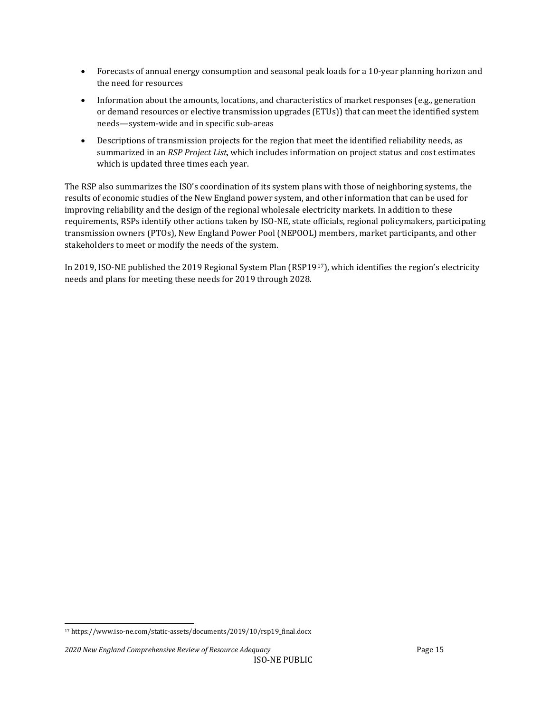- Forecasts of annual energy consumption and seasonal peak loads for a 10-year planning horizon and the need for resources
- Information about the amounts, locations, and characteristics of market responses (e.g., generation or demand resources or elective transmission upgrades (ETUs)) that can meet the identified system needs—system-wide and in specific sub-areas
- Descriptions of transmission projects for the region that meet the identified reliability needs, as summarized in an *RSP Project List*, which includes information on project status and cost estimates which is updated three times each year.

The RSP also summarizes the ISO's coordination of its system plans with those of neighboring systems, the results of economic studies of the New England power system, and other information that can be used for improving reliability and the design of the regional wholesale electricity markets. In addition to these requirements, RSPs identify other actions taken by ISO-NE, state officials, regional policymakers, participating transmission owners (PTOs), New England Power Pool (NEPOOL) members, market participants, and other stakeholders to meet or modify the needs of the system.

In 2019, ISO-NE published the 2019 Regional System Plan (RSP19<sup>[17](#page-14-0)</sup>), which identifies the region's electricity needs and plans for meeting these needs for 2019 through 2028.

<span id="page-14-0"></span><sup>17</sup> https://www.iso-ne.com/static-assets/documents/2019/10/rsp19\_final.docx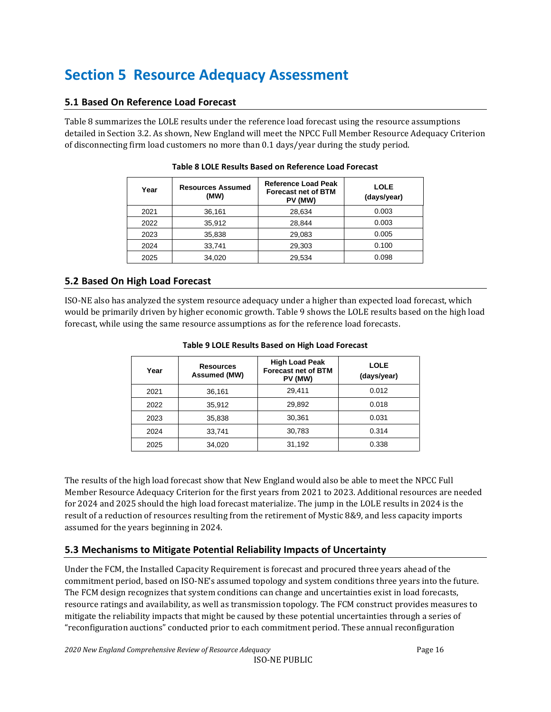## <span id="page-15-0"></span>**Section 5 Resource Adequacy Assessment**

## <span id="page-15-1"></span>**5.1 Based On Reference Load Forecast**

<span id="page-15-4"></span>Table 8 summarizes the LOLE results under the reference load forecast using the resource assumptions detailed in Section 3.2. As shown, New England will meet the NPCC Full Member Resource Adequacy Criterion of disconnecting firm load customers no more than 0.1 days/year during the study period.

| Year | <b>Resources Assumed</b><br>(MW) | <b>Reference Load Peak</b><br><b>Forecast net of BTM</b><br>PV (MW) | LOLE<br>(days/year) |
|------|----------------------------------|---------------------------------------------------------------------|---------------------|
| 2021 | 36,161                           | 28,634                                                              | 0.003               |
| 2022 | 35,912                           | 28.844                                                              | 0.003               |
| 2023 | 35,838                           | 29,083                                                              | 0.005               |
| 2024 | 33.741                           | 29,303                                                              | 0.100               |
| 2025 | 34,020                           | 29,534                                                              | 0.098               |

#### **Table 8 LOLE Results Based on Reference Load Forecast**

## <span id="page-15-2"></span>**5.2 Based On High Load Forecast**

<span id="page-15-5"></span>ISO-NE also has analyzed the system resource adequacy under a higher than expected load forecast, which would be primarily driven by higher economic growth. Table 9 shows the LOLE results based on the high load forecast, while using the same resource assumptions as for the reference load forecasts.

| Year | <b>Resources</b><br>Assumed (MW) | <b>High Load Peak</b><br><b>Forecast net of BTM</b><br>PV (MW) | <b>LOLE</b><br>(days/year) |
|------|----------------------------------|----------------------------------------------------------------|----------------------------|
| 2021 | 36,161                           | 29,411                                                         | 0.012                      |
| 2022 | 35,912                           | 29,892                                                         | 0.018                      |
| 2023 | 35,838                           | 30,361                                                         | 0.031                      |
| 2024 | 33,741                           | 30,783                                                         | 0.314                      |
| 2025 | 34,020                           | 31,192                                                         | 0.338                      |

#### **Table 9 LOLE Results Based on High Load Forecast**

The results of the high load forecast show that New England would also be able to meet the NPCC Full Member Resource Adequacy Criterion for the first years from 2021 to 2023. Additional resources are needed for 2024 and 2025 should the high load forecast materialize. The jump in the LOLE results in 2024 is the result of a reduction of resources resulting from the retirement of Mystic 8&9, and less capacity imports assumed for the years beginning in 2024.

## <span id="page-15-3"></span>**5.3 Mechanisms to Mitigate Potential Reliability Impacts of Uncertainty**

Under the FCM, the Installed Capacity Requirement is forecast and procured three years ahead of the commitment period, based on ISO-NE's assumed topology and system conditions three years into the future. The FCM design recognizes that system conditions can change and uncertainties exist in load forecasts, resource ratings and availability, as well as transmission topology. The FCM construct provides measures to mitigate the reliability impacts that might be caused by these potential uncertainties through a series of "reconfiguration auctions" conducted prior to each commitment period. These annual reconfiguration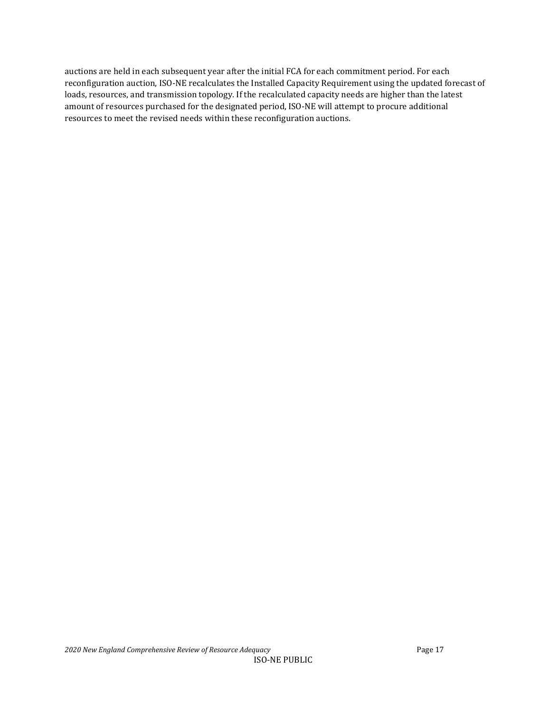auctions are held in each subsequent year after the initial FCA for each commitment period. For each reconfiguration auction, ISO-NE recalculates the Installed Capacity Requirement using the updated forecast of loads, resources, and transmission topology. If the recalculated capacity needs are higher than the latest amount of resources purchased for the designated period, ISO-NE will attempt to procure additional resources to meet the revised needs within these reconfiguration auctions.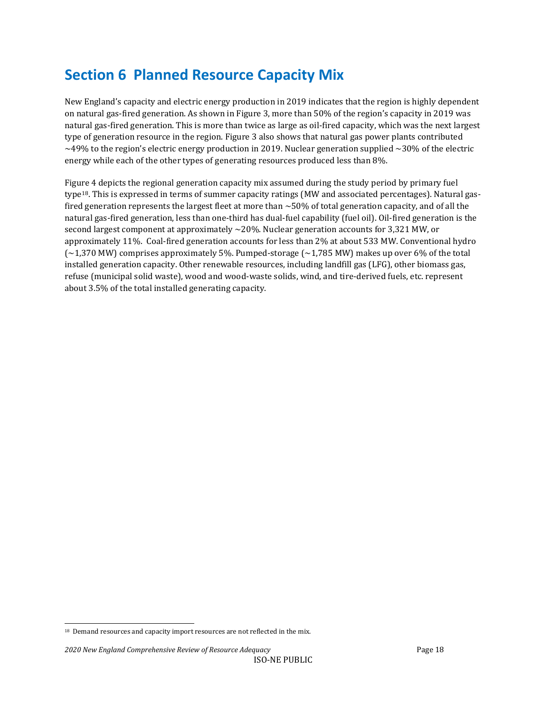## <span id="page-17-0"></span>**Section 6 Planned Resource Capacity Mix**

New England's capacity and electric energy production in 2019 indicates that the region is highly dependent on natural gas-fired generation. As shown in Figure 3, more than 50% of the region's capacity in 2019 was natural gas-fired generation. This is more than twice as large as oil-fired capacity, which was the next largest type of generation resource in the region. Figure 3 also shows that natural gas power plants contributed  $\sim$ 49% to the region's electric energy production in 2019. Nuclear generation supplied  $\sim$ 30% of the electric energy while each of the other types of generating resources produced less than 8%.

Figure 4 depicts the regional generation capacity mix assumed during the study period by primary fuel type[18.](#page-17-1) This is expressed in terms of summer capacity ratings (MW and associated percentages). Natural gasfired generation represents the largest fleet at more than  $\sim$  50% of total generation capacity, and of all the natural gas-fired generation, less than one-third has dual-fuel capability (fuel oil). Oil-fired generation is the second largest component at approximately  $\sim$ 20%. Nuclear generation accounts for 3,321 MW, or approximately 11%. Coal-fired generation accounts for less than 2% at about 533 MW. Conventional hydro  $(-1,370$  MW) comprises approximately 5%. Pumped-storage  $(-1,785$  MW) makes up over 6% of the total installed generation capacity. Other renewable resources, including landfill gas (LFG), other biomass gas, refuse (municipal solid waste), wood and wood-waste solids, wind, and tire-derived fuels, etc. represent about 3.5% of the total installed generating capacity.

<span id="page-17-1"></span><sup>&</sup>lt;sup>18</sup> Demand resources and capacity import resources are not reflected in the mix.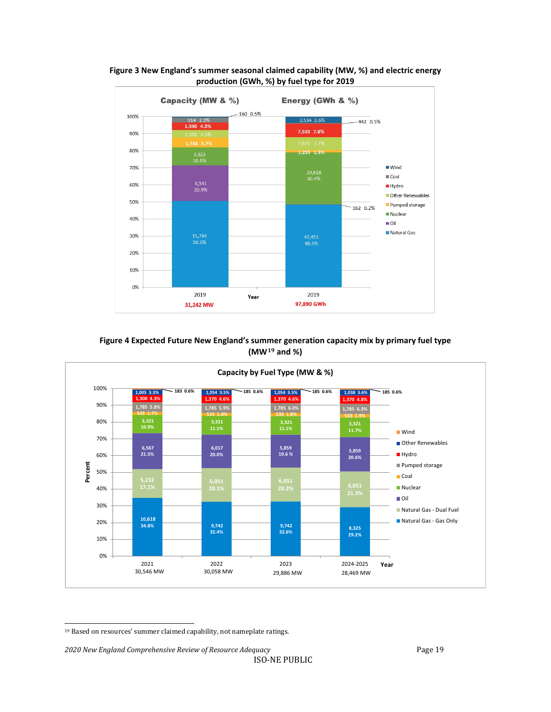

<span id="page-18-0"></span>**Figure 3 New England's summer seasonal claimed capability (MW, %) and electric energy production (GWh, %) by fuel type for 2019**

#### **Figure 4 Expected Future New England's summer generation capacity mix by primary fuel type (MW[19](#page-18-2) and %)**

<span id="page-18-1"></span>

*2020 New England Comprehensive Review of Resource Adequacy* Page 19

<span id="page-18-2"></span><sup>19</sup> Based on resources' summer claimed capability, not nameplate ratings.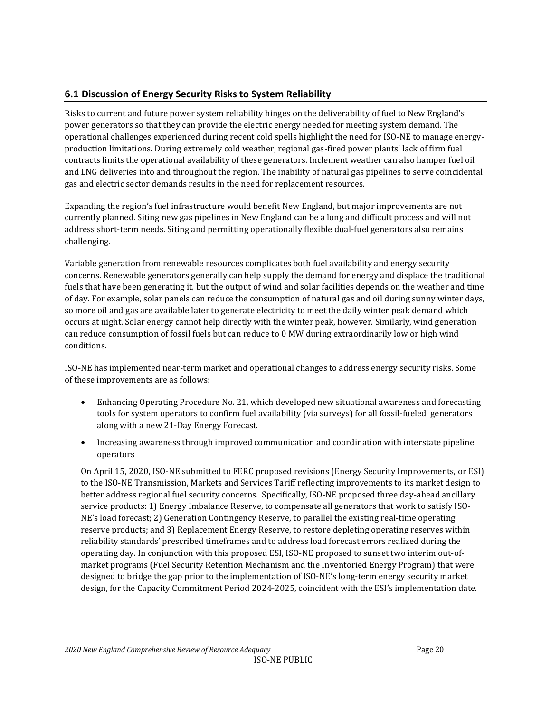## <span id="page-19-0"></span>**6.1 Discussion of Energy Security Risks to System Reliability**

Risks to current and future power system reliability hinges on the deliverability of fuel to New England's power generators so that they can provide the electric energy needed for meeting system demand. The operational challenges experienced during recent cold spells highlight the need for ISO-NE to manage energyproduction limitations. During extremely cold weather, regional gas-fired power plants' lack of firm fuel contracts limits the operational availability of these generators. Inclement weather can also hamper fuel oil and LNG deliveries into and throughout the region. The inability of natural gas pipelines to serve coincidental gas and electric sector demands results in the need for replacement resources.

Expanding the region's fuel infrastructure would benefit New England, but major improvements are not currently planned. Siting new gas pipelines in New England can be a long and difficult process and will not address short-term needs. Siting and permitting operationally flexible dual-fuel generators also remains challenging.

Variable generation from renewable resources complicates both fuel availability and energy security concerns. Renewable generators generally can help supply the demand for energy and displace the traditional fuels that have been generating it, but the output of wind and solar facilities depends on the weather and time of day. For example, solar panels can reduce the consumption of natural gas and oil during sunny winter days, so more oil and gas are available later to generate electricity to meet the daily winter peak demand which occurs at night. Solar energy cannot help directly with the winter peak, however. Similarly, wind generation can reduce consumption of fossil fuels but can reduce to 0 MW during extraordinarily low or high wind conditions.

ISO-NE has implemented near-term market and operational changes to address energy security risks. Some of these improvements are as follows:

- Enhancing Operating Procedure No. 21, which developed new situational awareness and forecasting tools for system operators to confirm fuel availability (via surveys) for all fossil-fueled generators along with a new 21-Day Energy Forecast.
- Increasing awareness through improved communication and coordination with interstate pipeline operators

On April 15, 2020, ISO-NE submitted to FERC proposed revisions (Energy Security Improvements, or ESI) to the ISO-NE Transmission, Markets and Services Tariff reflecting improvements to its market design to better address regional fuel security concerns. Specifically, ISO-NE proposed three day-ahead ancillary service products: 1) Energy Imbalance Reserve, to compensate all generators that work to satisfy ISO-NE's load forecast; 2) Generation Contingency Reserve, to parallel the existing real-time operating reserve products; and 3) Replacement Energy Reserve, to restore depleting operating reserves within reliability standards' prescribed timeframes and to address load forecast errors realized during the operating day. In conjunction with this proposed ESI, ISO-NE proposed to sunset two interim out-ofmarket programs (Fuel Security Retention Mechanism and the Inventoried Energy Program) that were designed to bridge the gap prior to the implementation of ISO-NE's long-term energy security market design, for the Capacity Commitment Period 2024-2025, coincident with the ESI's implementation date.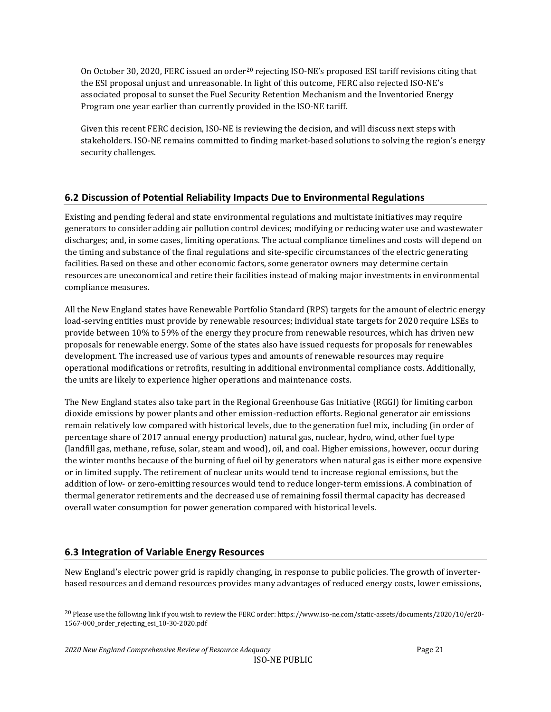On October 30, [20](#page-20-2)20, FERC issued an order<sup>20</sup> rejecting ISO-NE's proposed ESI tariff revisions citing that the ESI proposal unjust and unreasonable. In light of this outcome, FERC also rejected ISO-NE's associated proposal to sunset the Fuel Security Retention Mechanism and the Inventoried Energy Program one year earlier than currently provided in the ISO-NE tariff.

Given this recent FERC decision, ISO-NE is reviewing the decision, and will discuss next steps with stakeholders. ISO-NE remains committed to finding market-based solutions to solving the region's energy security challenges.

## <span id="page-20-0"></span>**6.2 Discussion of Potential Reliability Impacts Due to Environmental Regulations**

Existing and pending federal and state environmental regulations and multistate initiatives may require generators to consider adding air pollution control devices; modifying or reducing water use and wastewater discharges; and, in some cases, limiting operations. The actual compliance timelines and costs will depend on the timing and substance of the final regulations and site-specific circumstances of the electric generating facilities. Based on these and other economic factors, some generator owners may determine certain resources are uneconomical and retire their facilities instead of making major investments in environmental compliance measures.

All the New England states have Renewable Portfolio Standard (RPS) targets for the amount of electric energy load-serving entities must provide by renewable resources; individual state targets for 2020 require LSEs to provide between 10% to 59% of the energy they procure from renewable resources, which has driven new proposals for renewable energy. Some of the states also have issued requests for proposals for renewables development. The increased use of various types and amounts of renewable resources may require operational modifications or retrofits, resulting in additional environmental compliance costs. Additionally, the units are likely to experience higher operations and maintenance costs.

The New England states also take part in the Regional Greenhouse Gas Initiative (RGGI) for limiting carbon dioxide emissions by power plants and other emission-reduction efforts. Regional generator air emissions remain relatively low compared with historical levels, due to the generation fuel mix, including (in order of percentage share of 2017 annual energy production) natural gas, nuclear, hydro, wind, other fuel type (landfill gas, methane, refuse, solar, steam and wood), oil, and coal. Higher emissions, however, occur during the winter months because of the burning of fuel oil by generators when natural gas is either more expensive or in limited supply. The retirement of nuclear units would tend to increase regional emissions, but the addition of low- or zero-emitting resources would tend to reduce longer-term emissions. A combination of thermal generator retirements and the decreased use of remaining fossil thermal capacity has decreased overall water consumption for power generation compared with historical levels.

## <span id="page-20-1"></span>**6.3 Integration of Variable Energy Resources**

New England's electric power grid is rapidly changing, in response to public policies. The growth of inverterbased resources and demand resources provides many advantages of reduced energy costs, lower emissions,

<span id="page-20-2"></span><sup>&</sup>lt;sup>20</sup> Please use the following link if you wish to review the FERC order[: https://www.iso-ne.com/static-assets/documents/2020/10/er20-](https://www.iso-ne.com/static-assets/documents/2020/10/er20-1567-000_order_rejecting_esi_10-30-2020.pdf) [1567-000\\_order\\_rejecting\\_esi\\_10-30-2020.pdf](https://www.iso-ne.com/static-assets/documents/2020/10/er20-1567-000_order_rejecting_esi_10-30-2020.pdf)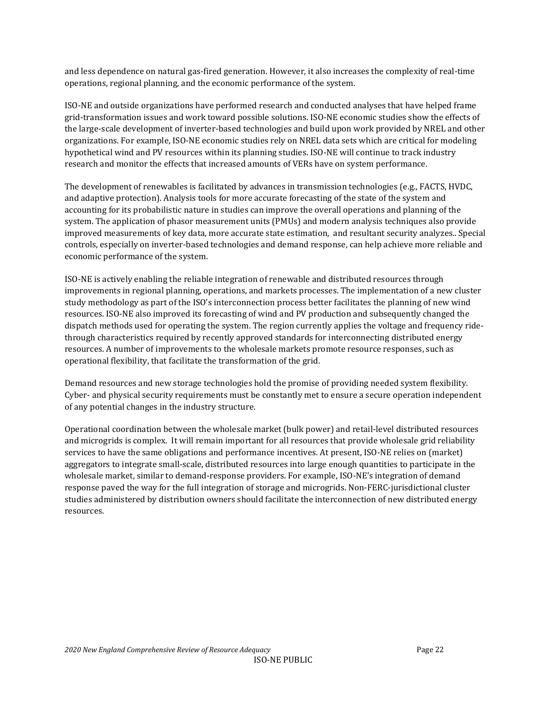and less dependence on natural gas-fired generation. However, it also increases the complexity of real-time operations, regional planning, and the economic performance of the system.

ISO-NE and outside organizations have performed research and conducted analyses that have helped frame grid-transformation issues and work toward possible solutions. ISO-NE economic studies show the effects of the large-scale development of inverter-based technologies and build upon work provided by NREL and other organizations. For example, ISO-NE economic studies rely on NREL data sets which are critical for modeling hypothetical wind and PV resources within its planning studies. ISO-NE will continue to track industry research and monitor the effects that increased amounts of VERs have on system performance.

The development of renewables is facilitated by advances in transmission technologies (e.g., FACTS, HVDC, and adaptive protection). Analysis tools for more accurate forecasting of the state of the system and accounting for its probabilistic nature in studies can improve the overall operations and planning of the system. The application of phasor measurement units (PMUs) and modern analysis techniques also provide improved measurements of key data, more accurate state estimation, and resultant security analyzes.. Special controls, especially on inverter-based technologies and demand response, can help achieve more reliable and economic performance of the system.

ISO-NE is actively enabling the reliable integration of renewable and distributed resources through improvements in regional planning, operations, and markets processes. The implementation of a new cluster study methodology as part of the ISO's interconnection process better facilitates the planning of new wind resources. ISO-NE also improved its forecasting of wind and PV production and subsequently changed the dispatch methods used for operating the system. The region currently applies the voltage and frequency ridethrough characteristics required by recently approved standards for interconnecting distributed energy resources. A number of improvements to the wholesale markets promote resource responses, such as operational flexibility, that facilitate the transformation of the grid.

Demand resources and new storage technologies hold the promise of providing needed system flexibility. Cyber- and physical security requirements must be constantly met to ensure a secure operation independent of any potential changes in the industry structure.

Operational coordination between the wholesale market (bulk power) and retail-level distributed resources and microgrids is complex. It will remain important for all resources that provide wholesale grid reliability services to have the same obligations and performance incentives. At present, ISO-NE relies on (market) aggregators to integrate small-scale, distributed resources into large enough quantities to participate in the wholesale market, similar to demand-response providers. For example, ISO-NE's integration of demand response paved the way for the full integration of storage and microgrids. Non-FERC-jurisdictional cluster studies administered by distribution owners should facilitate the interconnection of new distributed energy resources.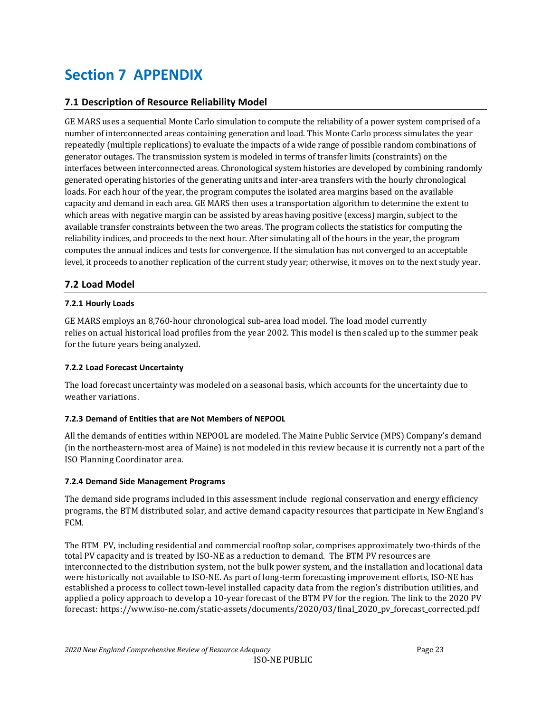## <span id="page-22-0"></span>**Section 7 APPENDIX**

## <span id="page-22-1"></span>**7.1 Description of Resource Reliability Model**

GE MARS uses a sequential Monte Carlo simulation to compute the reliability of a power system comprised of a number of interconnected areas containing generation and load. This Monte Carlo process simulates the year repeatedly (multiple replications) to evaluate the impacts of a wide range of possible random combinations of generator outages. The transmission system is modeled in terms of transfer limits (constraints) on the interfaces between interconnected areas. Chronological system histories are developed by combining randomly generated operating histories of the generating units and inter-area transfers with the hourly chronological loads. For each hour of the year, the program computes the isolated area margins based on the available capacity and demand in each area. GE MARS then uses a transportation algorithm to determine the extent to which areas with negative margin can be assisted by areas having positive (excess) margin, subject to the available transfer constraints between the two areas. The program collects the statistics for computing the reliability indices, and proceeds to the next hour. After simulating all of the hours in the year, the program computes the annual indices and tests for convergence. If the simulation has not converged to an acceptable level, it proceeds to another replication of the current study year; otherwise, it moves on to the next study year.

## <span id="page-22-2"></span>**7.2 Load Model**

#### <span id="page-22-3"></span>**7.2.1 Hourly Loads**

GE MARS employs an 8,760-hour chronological sub-area load model. The load model currently relies on actual historical load profiles from the year 2002. This model is then scaled up to the summer peak for the future years being analyzed.

#### <span id="page-22-4"></span>**7.2.2 Load Forecast Uncertainty**

The load forecast uncertainty was modeled on a seasonal basis, which accounts for the uncertainty due to weather variations.

#### <span id="page-22-5"></span>**7.2.3 Demand of Entities that are Not Members of NEPOOL**

All the demands of entities within NEPOOL are modeled. The Maine Public Service (MPS) Company's demand (in the northeastern-most area of Maine) is not modeled in this review because it is currently not a part of the ISO Planning Coordinator area.

#### <span id="page-22-6"></span>**7.2.4 Demand Side Management Programs**

The demand side programs included in this assessment include regional conservation and energy efficiency programs, the BTM distributed solar, and active demand capacity resources that participate in New England's FCM.

The BTM PV, including residential and commercial rooftop solar, comprises approximately two-thirds of the total PV capacity and is treated by ISO-NE as a reduction to demand. The BTM PV resources are interconnected to the distribution system, not the bulk power system, and the installation and locational data were historically not available to ISO-NE. As part of long-term forecasting improvement efforts, ISO-NE has established a process to collect town-level installed capacity data from the region's distribution utilities, and applied a policy approach to develop a 10-year forecast of the BTM PV for the region. The link to the 2020 PV forecast: https://www.iso-ne.com/static-assets/documents/2020/03/final\_2020\_pv\_forecast\_corrected.pdf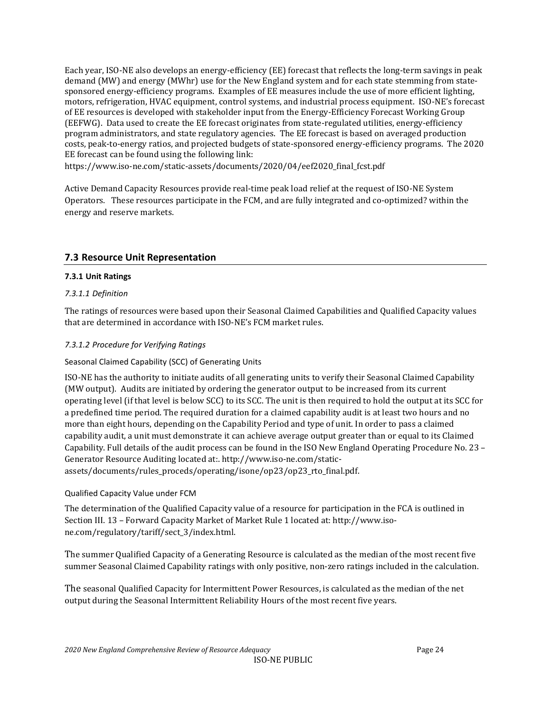Each year, ISO-NE also develops an energy-efficiency (EE) forecast that reflects the long-term savings in peak demand (MW) and energy (MWhr) use for the New England system and for each state stemming from statesponsored energy-efficiency programs. Examples of EE measures include the use of more efficient lighting, motors, refrigeration, HVAC equipment, control systems, and industrial process equipment. ISO-NE's forecast of EE resources is developed with stakeholder input from the Energy-Efficiency Forecast Working Group (EEFWG). Data used to create the EE forecast originates from state-regulated utilities, energy-efficiency program administrators, and state regulatory agencies. The EE forecast is based on averaged production costs, peak-to-energy ratios, and projected budgets of state-sponsored energy-efficiency programs. The 2020 EE forecast can be found using the following link:

https://www.iso-ne.com/static-assets/documents/2020/04/eef2020\_final\_fcst.pdf

Active Demand Capacity Resources provide real-time peak load relief at the request of ISO-NE System Operators. These resources participate in the FCM, and are fully integrated and co-optimized? within the energy and reserve markets.

## <span id="page-23-0"></span>**7.3 Resource Unit Representation**

#### <span id="page-23-1"></span>**7.3.1 Unit Ratings**

### *7.3.1.1 Definition*

The ratings of resources were based upon their Seasonal Claimed Capabilities and Qualified Capacity values that are determined in accordance with ISO-NE's FCM market rules.

#### *7.3.1.2 Procedure for Verifying Ratings*

### Seasonal Claimed Capability (SCC) of Generating Units

ISO-NE has the authority to initiate audits of all generating units to verify their Seasonal Claimed Capability (MW output). Audits are initiated by ordering the generator output to be increased from its current operating level (if that level is below SCC) to its SCC. The unit is then required to hold the output at its SCC for a predefined time period. The required duration for a claimed capability audit is at least two hours and no more than eight hours, depending on the Capability Period and type of unit. In order to pass a claimed capability audit, a unit must demonstrate it can achieve average output greater than or equal to its Claimed Capability. Full details of the audit process can be found in the ISO New England Operating Procedure No. 23 – Generator Resource Auditing located at:. http://www.iso-ne.com/staticassets/documents/rules\_proceds/operating/isone/op23/op23\_rto\_final.pdf.

#### Qualified Capacity Value under FCM

The determination of the Qualified Capacity value of a resource for participation in the FCA is outlined in Section III. 13 – Forward Capacity Market of Market Rule 1 located at: [http://www.iso](http://www.iso-ne.com/regulatory/tariff/sect_3/index.html)[ne.com/regulatory/tariff/sect\\_3/index.html.](http://www.iso-ne.com/regulatory/tariff/sect_3/index.html)

The summer Qualified Capacity of a Generating Resource is calculated as the median of the most recent five summer Seasonal Claimed Capability ratings with only positive, non-zero ratings included in the calculation.

The seasonal Qualified Capacity for Intermittent Power Resources, is calculated as the median of the net output during the Seasonal Intermittent Reliability Hours of the most recent five years.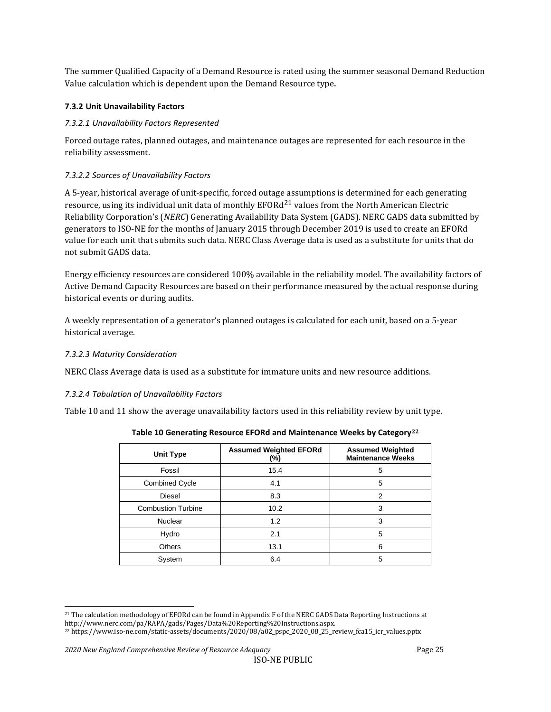The summer Qualified Capacity of a Demand Resource is rated using the summer seasonal Demand Reduction Value calculation which is dependent upon the Demand Resource type.

### <span id="page-24-0"></span>**7.3.2 Unit Unavailability Factors**

### *7.3.2.1 Unavailability Factors Represented*

Forced outage rates, planned outages, and maintenance outages are represented for each resource in the reliability assessment.

### *7.3.2.2 Sources of Unavailability Factors*

A 5-year, historical average of unit-specific, forced outag[e as](#page-24-2)sumptions is determined for each generating resource, using its individual unit data of monthly EFOR $d^{21}$  values from the North American Electric Reliability Corporation's (*NERC*) Generating Availability Data System (GADS). NERC GADS data submitted by generators to ISO-NE for the months of January 2015 through December 2019 is used to create an EFORd value for each unit that submits such data. NERC Class Average data is used as a substitute for units that do not submit GADS data.

Energy efficiency resources are considered 100% available in the reliability model. The availability factors of Active Demand Capacity Resources are based on their performance measured by the actual response during historical events or during audits.

A weekly representation of a generator's planned outages is calculated for each unit, based on a 5-year historical average.

#### *7.3.2.3 Maturity Consideration*

NERC Class Average data is used as a substitute for immature units and new resource additions.

#### *7.3.2.4 Tabulation of Unavailability Factors*

<span id="page-24-1"></span>Table 10 and 11 show the average unavailability factors used in this reliability review by unit type.

| <b>Unit Type</b>          | <b>Assumed Weighted EFORd</b><br>$(\%)$ | <b>Assumed Weighted</b><br><b>Maintenance Weeks</b> |  |
|---------------------------|-----------------------------------------|-----------------------------------------------------|--|
| Fossil                    | 15.4                                    | 5                                                   |  |
| <b>Combined Cycle</b>     | 4.1                                     | 5                                                   |  |
| Diesel                    | 8.3                                     | 2                                                   |  |
| <b>Combustion Turbine</b> | 10.2                                    | 3                                                   |  |
| <b>Nuclear</b>            | 1.2                                     | 3                                                   |  |
| Hydro                     | 2.1                                     | 5                                                   |  |
| <b>Others</b>             | 13.1                                    | 6                                                   |  |
| System                    | 6.4                                     | 5                                                   |  |

**Table 10 Generating Resource EFORd and Maintenance Weeks by Category[22](#page-24-3)**

<span id="page-24-2"></span><sup>21</sup> The calculation methodology of EFORd can be found in Appendix F of the NERC GADS Data Reporting Instructions at http://www.nerc.com/pa/RAPA/gads/Pages/Data%20Reporting%20Instructions.aspx.

<span id="page-24-3"></span><sup>&</sup>lt;sup>22</sup> https://www.iso-ne.com/static-assets/documents/2020/08/a02\_pspc\_2020\_08\_25\_review\_fca15\_icr\_values.pptx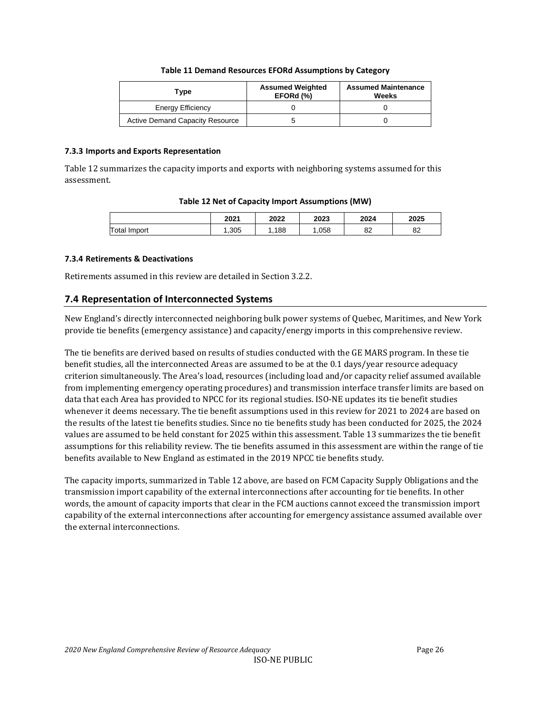#### **Table 11 Demand Resources EFORd Assumptions by Category**

<span id="page-25-3"></span>

| Type                                   | <b>Assumed Weighted</b><br>EFORd (%) | <b>Assumed Maintenance</b><br>Weeks |
|----------------------------------------|--------------------------------------|-------------------------------------|
| Energy Efficiency                      |                                      |                                     |
| <b>Active Demand Capacity Resource</b> |                                      |                                     |

#### <span id="page-25-0"></span>**7.3.3 Imports and Exports Representation**

<span id="page-25-4"></span>Table 12 summarizes the capacity imports and exports with neighboring systems assumed for this assessment.

#### **Table 12 Net of Capacity Import Assumptions (MW)**

|                 | 2021 | 2022 | 2023 | 2024     | 2025           |
|-----------------|------|------|------|----------|----------------|
| Total<br>Import | ,305 | 188  | .058 | 00<br>oΖ | $\Omega$<br>٥z |

#### <span id="page-25-1"></span>**7.3.4 Retirements & Deactivations**

Retirements assumed in this review are detailed in Section 3.2.2.

## <span id="page-25-2"></span>**7.4 Representation of Interconnected Systems**

New England's directly interconnected neighboring bulk power systems of Quebec, Maritimes, and New York provide tie benefits (emergency assistance) and capacity/energy imports in this comprehensive review.

The tie benefits are derived based on results of studies conducted with the GE MARS program. In these tie benefit studies, all the interconnected Areas are assumed to be at the 0.1 days/year resource adequacy criterion simultaneously. The Area's load, resources (including load and/or capacity relief assumed available from implementing emergency operating procedures) and transmission interface transfer limits are based on data that each Area has provided to NPCC for its regional studies. ISO-NE updates its tie benefit studies whenever it deems necessary. The tie benefit assumptions used in this review for 2021 to 2024 are based on the results of the latest tie benefits studies. Since no tie benefits study has been conducted for 2025, the 2024 values are assumed to be held constant for 2025 within this assessment. Table 13 summarizes the tie benefit assumptions for this reliability review. The tie benefits assumed in this assessment are within the range of tie benefits available to New England as estimated in the 2019 NPCC tie benefits study.

The capacity imports, summarized in Table 12 above, are based on FCM Capacity Supply Obligations and the transmission import capability of the external interconnections after accounting for tie benefits. In other words, the amount of capacity imports that clear in the FCM auctions cannot exceed the transmission import capability of the external interconnections after accounting for emergency assistance assumed available over the external interconnections.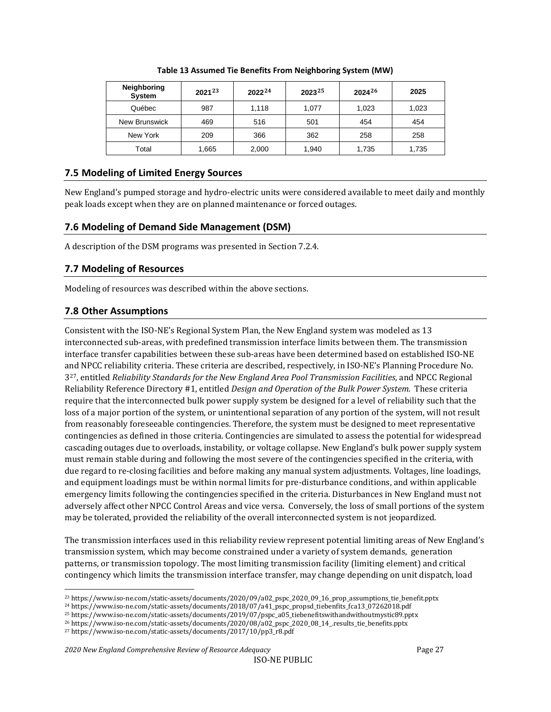<span id="page-26-4"></span>

| <b>Neighboring</b><br><b>System</b> | $2021^{23}$ | $2022^{24}$ | $2023^{25}$ | $2024^{26}$ | 2025  |
|-------------------------------------|-------------|-------------|-------------|-------------|-------|
| Québec                              | 987         | 1.118       | 1.077       | 1,023       | 1,023 |
| New Brunswick                       | 469         | 516         | 501         | 454         | 454   |
| New York                            | 209         | 366         | 362         | 258         | 258   |
| Total                               | 1,665       | 2,000       | 1,940       | 1,735       | 1,735 |

#### **Table 13 Assumed Tie Benefits From Neighboring System (MW)**

## <span id="page-26-0"></span>**7.5 Modeling of Limited Energy Sources**

New England's pumped storage and hydro-electric units were considered available to meet daily and monthly peak loads except when they are on planned maintenance or forced outages.

## <span id="page-26-1"></span>**7.6 Modeling of Demand Side Management (DSM)**

A description of the DSM programs was presented in Section 7.2.4.

## <span id="page-26-2"></span>**7.7 Modeling of Resources**

Modeling of resources was described within the above sections.

## <span id="page-26-3"></span>**7.8 Other Assumptions**

Consistent with the ISO-NE's Regional System Plan, the New England system was modeled as 13 interconnected sub-areas, with predefined transmission interface limits between them. The transmission interface transfer capabilities between these sub-areas have been determined based on established ISO-NE and NPCC reliability criteria. These criteria are described, respectively, in ISO-NE's Planning Procedure No. 3[27](#page-26-9), entitled *Reliability Standards for the New England Area Pool Transmission Facilities*, and NPCC Regional Reliability Reference Directory #1, entitled *Design and Operation of the Bulk Power System.* These criteria require that the interconnected bulk power supply system be designed for a level of reliability such that the loss of a major portion of the system, or unintentional separation of any portion of the system, will not result from reasonably foreseeable contingencies. Therefore, the system must be designed to meet representative contingencies as defined in those criteria. Contingencies are simulated to assess the potential for widespread cascading outages due to overloads, instability, or voltage collapse. New England's bulk power supply system must remain stable during and following the most severe of the contingencies specified in the criteria, with due regard to re-closing facilities and before making any manual system adjustments. Voltages, line loadings, and equipment loadings must be within normal limits for pre-disturbance conditions, and within applicable emergency limits following the contingencies specified in the criteria. Disturbances in New England must not adversely affect other NPCC Control Areas and vice versa. Conversely, the loss of small portions of the system may be tolerated, provided the reliability of the overall interconnected system is not jeopardized.

The transmission interfaces used in this reliability review represent potential limiting areas of New England's transmission system, which may become constrained under a variety of system demands, generation patterns, or transmission topology. The most limiting transmission facility (limiting element) and critical contingency which limits the transmission interface transfer, may change depending on unit dispatch, load

<span id="page-26-5"></span><sup>23</sup> https://www.iso-ne.com/static-assets/documents/2020/09/a02\_pspc\_2020\_09\_16\_prop\_assumptions\_tie\_benefit.pptx

<span id="page-26-7"></span><span id="page-26-6"></span><sup>24</sup> [https://www.iso-ne.com/static-assets/documents/2018/07/a41\\_pspc\\_propsd\\_tiebenfits\\_fca13\\_07262018.pdf](https://www.iso-ne.com/static-assets/documents/2018/07/a41_pspc_propsd_tiebenfits_fca13_07262018.pdf)

<sup>25</sup> [https://www.iso-ne.com/static-assets/documents/2019/07/pspc\\_a05\\_tiebenefitswithandwithoutmystic89.pptx](https://www.iso-ne.com/static-assets/documents/2019/07/pspc_a05_tiebenefitswithandwithoutmystic89.pptx)

<span id="page-26-8"></span><sup>26</sup> https://www.iso-ne.com/static-assets/documents/2020/08/a02\_pspc\_2020\_08\_14\_.results\_tie\_benefits.pptx

<span id="page-26-9"></span><sup>27</sup> https://www.iso-ne.com/static-assets/documents/2017/10/pp3\_r8.pdf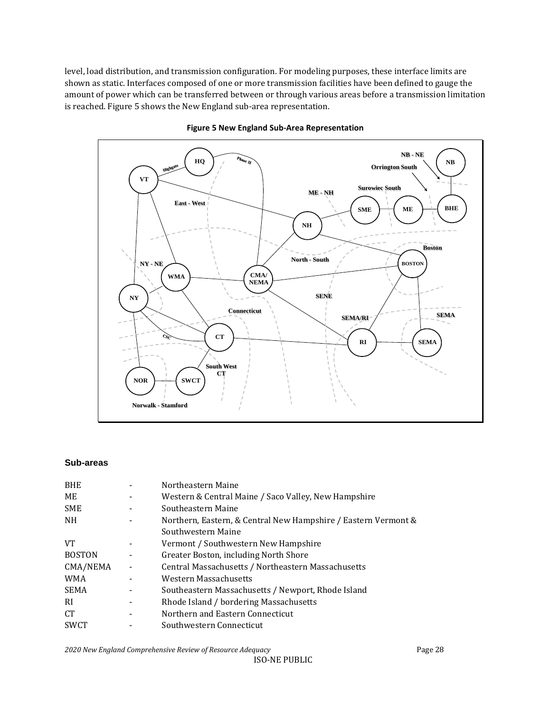level, load distribution, and transmission configuration. For modeling purposes, these interface limits are shown as static. Interfaces composed of one or more transmission facilities have been defined to gauge the amount of power which can be transferred between or through various areas before a transmission limitation is reached. [Figure 5](#page-27-0) shows the New England sub-area representation.

<span id="page-27-0"></span>



#### **Sub-areas**

| Northeastern Maine                                             |
|----------------------------------------------------------------|
| Western & Central Maine / Saco Valley, New Hampshire           |
| Southeastern Maine                                             |
| Northern, Eastern, & Central New Hampshire / Eastern Vermont & |
| Southwestern Maine                                             |
| Vermont / Southwestern New Hampshire                           |
| Greater Boston, including North Shore                          |
| Central Massachusetts / Northeastern Massachusetts             |
| Western Massachusetts                                          |
| Southeastern Massachusetts / Newport, Rhode Island             |
| Rhode Island / bordering Massachusetts                         |
| Northern and Eastern Connecticut                               |
| Southwestern Connecticut                                       |
|                                                                |